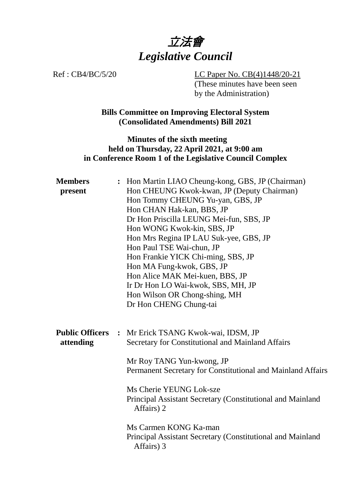

Ref : CB4/BC/5/20 LC Paper No. CB(4)1448/20-21 (These minutes have been seen by the Administration)

> **Bills Committee on Improving Electoral System (Consolidated Amendments) Bill 2021**

#### **Minutes of the sixth meeting held on Thursday, 22 April 2021, at 9:00 am in Conference Room 1 of the Legislative Council Complex**

| <b>Members</b><br>present           | : Hon Martin LIAO Cheung-kong, GBS, JP (Chairman)<br>Hon CHEUNG Kwok-kwan, JP (Deputy Chairman)<br>Hon Tommy CHEUNG Yu-yan, GBS, JP<br>Hon CHAN Hak-kan, BBS, JP<br>Dr Hon Priscilla LEUNG Mei-fun, SBS, JP<br>Hon WONG Kwok-kin, SBS, JP<br>Hon Mrs Regina IP LAU Suk-yee, GBS, JP<br>Hon Paul TSE Wai-chun, JP<br>Hon Frankie YICK Chi-ming, SBS, JP<br>Hon MA Fung-kwok, GBS, JP<br>Hon Alice MAK Mei-kuen, BBS, JP<br>Ir Dr Hon LO Wai-kwok, SBS, MH, JP<br>Hon Wilson OR Chong-shing, MH<br>Dr Hon CHENG Chung-tai |
|-------------------------------------|-------------------------------------------------------------------------------------------------------------------------------------------------------------------------------------------------------------------------------------------------------------------------------------------------------------------------------------------------------------------------------------------------------------------------------------------------------------------------------------------------------------------------|
| <b>Public Officers</b><br>attending | : Mr Erick TSANG Kwok-wai, IDSM, JP<br>Secretary for Constitutional and Mainland Affairs<br>Mr Roy TANG Yun-kwong, JP<br>Permanent Secretary for Constitutional and Mainland Affairs<br>Ms Cherie YEUNG Lok-sze<br>Principal Assistant Secretary (Constitutional and Mainland<br>Affairs) 2<br>Ms Carmen KONG Ka-man<br>Principal Assistant Secretary (Constitutional and Mainland<br>Affairs) 3                                                                                                                        |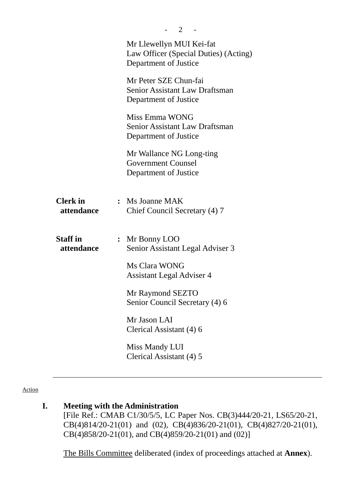|                               | 2                                                                                          |
|-------------------------------|--------------------------------------------------------------------------------------------|
|                               | Mr Llewellyn MUI Kei-fat<br>Law Officer (Special Duties) (Acting)<br>Department of Justice |
|                               | Mr Peter SZE Chun-fai<br><b>Senior Assistant Law Draftsman</b><br>Department of Justice    |
|                               | Miss Emma WONG<br><b>Senior Assistant Law Draftsman</b><br>Department of Justice           |
|                               | Mr Wallance NG Long-ting<br><b>Government Counsel</b><br>Department of Justice             |
| <b>Clerk</b> in<br>attendance | : Ms Joanne MAK<br>Chief Council Secretary (4) 7                                           |
| <b>Staff</b> in<br>attendance | $\colon$ Mr Bonny LOO<br>Senior Assistant Legal Adviser 3                                  |
|                               | Ms Clara WONG<br><b>Assistant Legal Adviser 4</b>                                          |
|                               | Mr Raymond SEZTO<br>Senior Council Secretary (4) 6                                         |
|                               | Mr Jason LAI<br>Clerical Assistant (4) 6                                                   |
|                               | Miss Mandy LUI<br>Clerical Assistant (4) 5                                                 |

Action

# **I. Meeting with the Administration**

[File Ref.: CMAB C1/30/5/5, LC Paper Nos. CB(3)444/20-21, LS65/20-21, CB(4)814/20-21(01) and (02), CB(4)836/20-21(01), CB(4)827/20-21(01), CB(4)858/20-21(01), and CB(4)859/20-21(01) and (02)]

1. The Bills Committee deliberated (index of proceedings attached at **Annex**).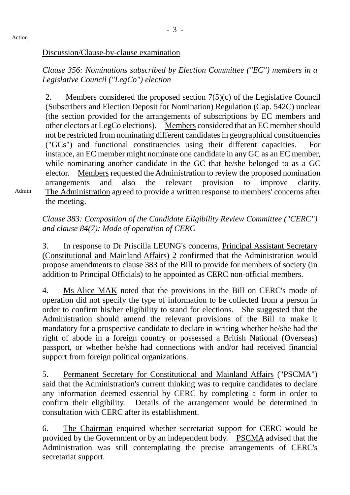Admin

*Clause 356: Nominations subscribed by Election Committee ("EC") members in a Legislative Council ("LegCo") election*

2. Members considered the proposed section 7(5)(c) of the Legislative Council (Subscribers and Election Deposit for Nomination) Regulation (Cap. 542C) unclear (the section provided for the arrangements of subscriptions by EC members and other electors at LegCo elections). Members considered that an EC member should not be restricted from nominating different candidates in geographical constituencies ("GCs") and functional constituencies using their different capacities. For instance, an EC member might nominate one candidate in any GC as an EC member, while nominating another candidate in the GC that he/she belonged to as a GC elector. Members requested the Administration to review the proposed nomination arrangements and also the relevant provision to improve clarity. The Administration agreed to provide a written response to members' concerns after the meeting.

*Clause 383: Composition of the Candidate Eligibility Review Committee ("CERC") and clause 84(7): Mode of operation of CERC*

3. In response to Dr Priscilla LEUNG's concerns, Principal Assistant Secretary (Constitutional and Mainland Affairs) 2 confirmed that the Administration would propose amendments to clause 383 of the Bill to provide for members of society (in addition to Principal Officials) to be appointed as CERC non-official members.

4. Ms Alice MAK noted that the provisions in the Bill on CERC's mode of operation did not specify the type of information to be collected from a person in order to confirm his/her eligibility to stand for elections. She suggested that the Administration should amend the relevant provisions of the Bill to make it mandatory for a prospective candidate to declare in writing whether he/she had the right of abode in a foreign country or possessed a British National (Overseas) passport, or whether he/she had connections with and/or had received financial support from foreign political organizations.

5. Permanent Secretary for Constitutional and Mainland Affairs ("PSCMA") said that the Administration's current thinking was to require candidates to declare any information deemed essential by CERC by completing a form in order to confirm their eligibility. Details of the arrangement would be determined in consultation with CERC after its establishment.

6. The Chairman enquired whether secretariat support for CERC would be provided by the Government or by an independent body. PSCMA advised that the Administration was still contemplating the precise arrangements of CERC's secretariat support.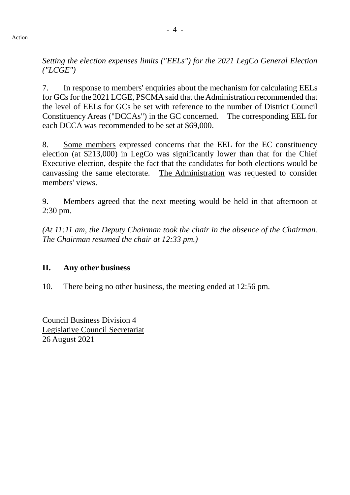Action

*Setting the election expenses limits ("EELs") for the 2021 LegCo General Election ("LCGE")*

7. In response to members' enquiries about the mechanism for calculating EELs for GCs for the 2021 LCGE, PSCMAsaid that the Administration recommended that the level of EELs for GCs be set with reference to the number of District Council Constituency Areas ("DCCAs") in the GC concerned. The corresponding EEL for each DCCA was recommended to be set at \$69,000.

8. Some members expressed concerns that the EEL for the EC constituency election (at \$213,000) in LegCo was significantly lower than that for the Chief Executive election, despite the fact that the candidates for both elections would be canvassing the same electorate. The Administration was requested to consider members' views.

9. Members agreed that the next meeting would be held in that afternoon at 2:30 pm.

*(At 11:11 am, the Deputy Chairman took the chair in the absence of the Chairman. The Chairman resumed the chair at 12:33 pm.)*

# **II. Any other business**

10. There being no other business, the meeting ended at 12:56 pm.

Council Business Division 4 Legislative Council Secretariat 26 August 2021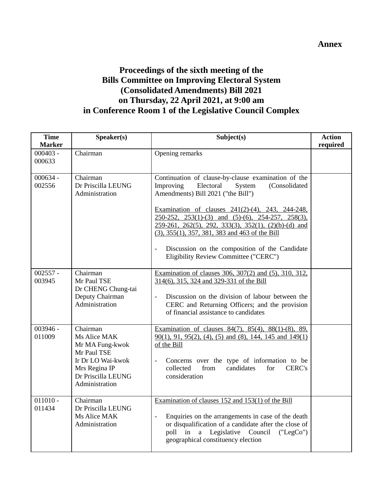#### **Annex**

# **Proceedings of the sixth meeting of the Bills Committee on Improving Electoral System (Consolidated Amendments) Bill 2021 on Thursday, 22 April 2021, at 9:00 am in Conference Room 1 of the Legislative Council Complex**

| <b>Time</b><br><b>Marker</b> | Speaker(s)                                                                                                                               | Subject(s)                                                                                                                                                                                                                                                                                                                                                                                                                                                                                        | <b>Action</b><br>required |
|------------------------------|------------------------------------------------------------------------------------------------------------------------------------------|---------------------------------------------------------------------------------------------------------------------------------------------------------------------------------------------------------------------------------------------------------------------------------------------------------------------------------------------------------------------------------------------------------------------------------------------------------------------------------------------------|---------------------------|
| $000403 -$<br>000633         | Chairman                                                                                                                                 | Opening remarks                                                                                                                                                                                                                                                                                                                                                                                                                                                                                   |                           |
| $000634 -$<br>002556         | Chairman<br>Dr Priscilla LEUNG<br>Administration                                                                                         | Continuation of clause-by-clause examination of the<br>Improving<br>Electoral<br>System<br>(Consolidated<br>Amendments) Bill 2021 ("the Bill")<br>Examination of clauses 241(2)-(4), 243, 244-248,<br>$250-252$ , $253(1)-(3)$ and $(5)-(6)$ , $254-257$ ,<br>$258(3)$ ,<br>$259-261$ , $262(5)$ , $292$ , $333(3)$ , $352(1)$ , $(2)(b)-(d)$ and<br>$(3)$ , 355(1), 357, 381, 383 and 463 of the Bill<br>Discussion on the composition of the Candidate<br>Eligibility Review Committee ("CERC") |                           |
| $002557 -$<br>003945         | Chairman<br>Mr Paul TSE<br>Dr CHENG Chung-tai<br>Deputy Chairman<br>Administration                                                       | Examination of clauses 306, 307(2) and (5), 310, 312,<br>314(6), 315, 324 and 329-331 of the Bill<br>Discussion on the division of labour between the<br>CERC and Returning Officers; and the provision<br>of financial assistance to candidates                                                                                                                                                                                                                                                  |                           |
| $003946 -$<br>011009         | Chairman<br>Ms Alice MAK<br>Mr MA Fung-kwok<br>Mr Paul TSE<br>Ir Dr LO Wai-kwok<br>Mrs Regina IP<br>Dr Priscilla LEUNG<br>Administration | Examination of clauses $84(7)$ , $85(4)$ , $88(1)-(8)$ , $89$ ,<br>$90(1)$ , $91$ , $95(2)$ , $(4)$ , $(5)$ and $(8)$ , $144$ , $145$ and $149(1)$<br>of the Bill<br>Concerns over the type of information to be<br>collected<br>from<br>candidates<br><b>CERC's</b><br>for<br>consideration                                                                                                                                                                                                      |                           |
| $011010 -$<br>011434         | Chairman<br>Dr Priscilla LEUNG<br>Ms Alice MAK<br>Administration                                                                         | Examination of clauses 152 and 153(1) of the Bill<br>Enquiries on the arrangements in case of the death<br>or disqualification of a candidate after the close of<br>poll in a Legislative Council<br>("LegCo")<br>geographical constituency election                                                                                                                                                                                                                                              |                           |